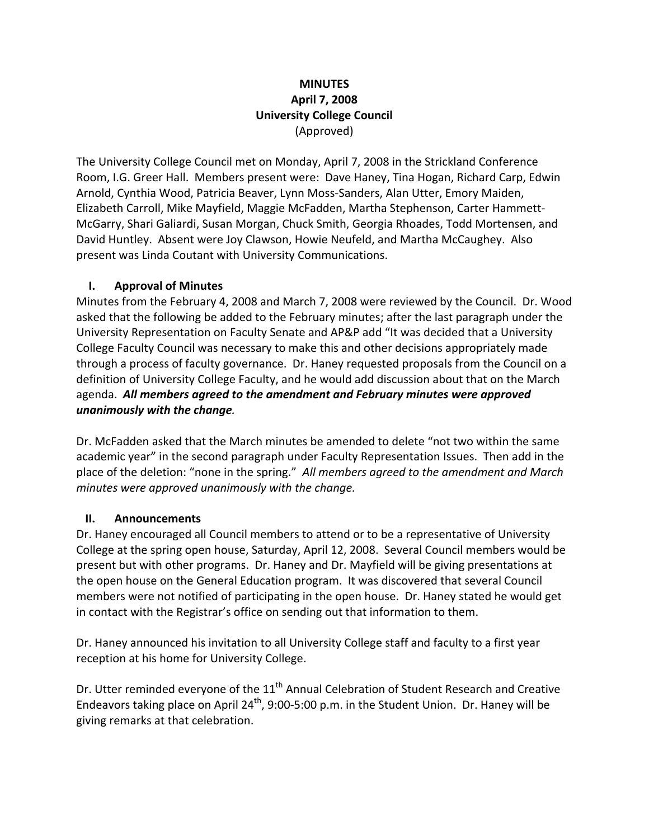### **MINUTES April 7, 2008 University College Council** (Approved)

The University College Council met on Monday, April 7, 2008 in the Strickland Conference Room, I.G. Greer Hall. Members present were: Dave Haney, Tina Hogan, Richard Carp, Edwin Arnold, Cynthia Wood, Patricia Beaver, Lynn Moss‐Sanders, Alan Utter, Emory Maiden, Elizabeth Carroll, Mike Mayfield, Maggie McFadden, Martha Stephenson, Carter Hammett‐ McGarry, Shari Galiardi, Susan Morgan, Chuck Smith, Georgia Rhoades, Todd Mortensen, and David Huntley. Absent were Joy Clawson, Howie Neufeld, and Martha McCaughey. Also present was Linda Coutant with University Communications.

### **I. Approval of Minutes**

Minutes from the February 4, 2008 and March 7, 2008 were reviewed by the Council. Dr. Wood asked that the following be added to the February minutes; after the last paragraph under the University Representation on Faculty Senate and AP&P add "It was decided that a University College Faculty Council was necessary to make this and other decisions appropriately made through a process of faculty governance. Dr. Haney requested proposals from the Council on a definition of University College Faculty, and he would add discussion about that on the March agenda. *All members agreed to the amendment and February minutes were approved unanimously with the change.* 

Dr. McFadden asked that the March minutes be amended to delete "not two within the same academic year" in the second paragraph under Faculty Representation Issues. Then add in the place of the deletion: "none in the spring." *All members agreed to the amendment and March minutes were approved unanimously with the change.*

### **II. Announcements**

Dr. Haney encouraged all Council members to attend or to be a representative of University College at the spring open house, Saturday, April 12, 2008. Several Council members would be present but with other programs. Dr. Haney and Dr. Mayfield will be giving presentations at the open house on the General Education program. It was discovered that several Council members were not notified of participating in the open house. Dr. Haney stated he would get in contact with the Registrar's office on sending out that information to them.

Dr. Haney announced his invitation to all University College staff and faculty to a first year reception at his home for University College.

Dr. Utter reminded everyone of the  $11<sup>th</sup>$  Annual Celebration of Student Research and Creative Endeavors taking place on April 24<sup>th</sup>, 9:00-5:00 p.m. in the Student Union. Dr. Haney will be giving remarks at that celebration.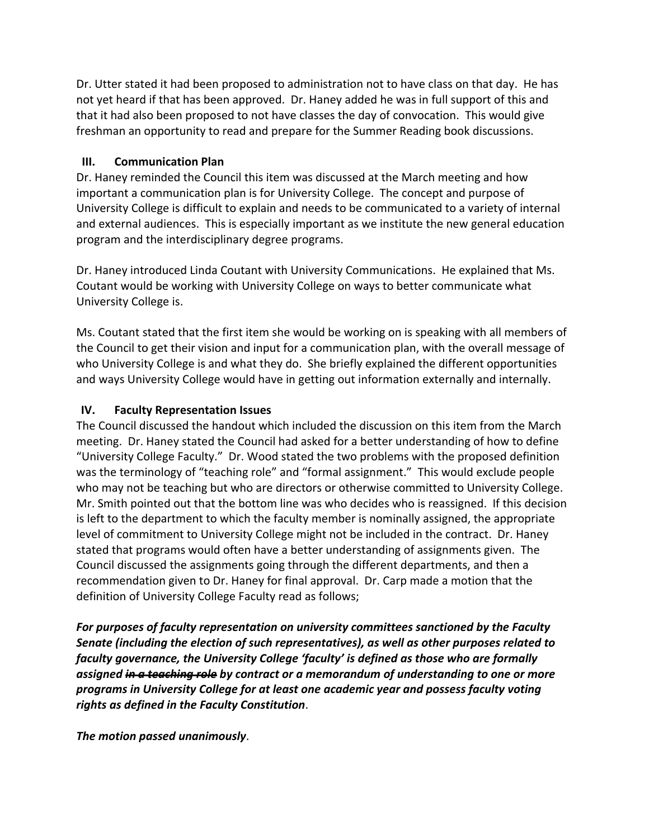Dr. Utter stated it had been proposed to administration not to have class on that day. He has not yet heard if that has been approved. Dr. Haney added he was in full support of this and that it had also been proposed to not have classes the day of convocation. This would give freshman an opportunity to read and prepare for the Summer Reading book discussions.

#### **III. Communication Plan**

Dr. Haney reminded the Council this item was discussed at the March meeting and how important a communication plan is for University College. The concept and purpose of University College is difficult to explain and needs to be communicated to a variety of internal and external audiences. This is especially important as we institute the new general education program and the interdisciplinary degree programs.

Dr. Haney introduced Linda Coutant with University Communications. He explained that Ms. Coutant would be working with University College on ways to better communicate what University College is.

Ms. Coutant stated that the first item she would be working on is speaking with all members of the Council to get their vision and input for a communication plan, with the overall message of who University College is and what they do. She briefly explained the different opportunities and ways University College would have in getting out information externally and internally.

### **IV. Faculty Representation Issues**

The Council discussed the handout which included the discussion on this item from the March meeting. Dr. Haney stated the Council had asked for a better understanding of how to define "University College Faculty." Dr. Wood stated the two problems with the proposed definition was the terminology of "teaching role" and "formal assignment." This would exclude people who may not be teaching but who are directors or otherwise committed to University College. Mr. Smith pointed out that the bottom line was who decides who is reassigned. If this decision is left to the department to which the faculty member is nominally assigned, the appropriate level of commitment to University College might not be included in the contract. Dr. Haney stated that programs would often have a better understanding of assignments given. The Council discussed the assignments going through the different departments, and then a recommendation given to Dr. Haney for final approval. Dr. Carp made a motion that the definition of University College Faculty read as follows;

*For purposes of faculty representation on university committees sanctioned by the Faculty Senate (including the election of such representatives), as well as other purposes related to faculty governance, the University College 'faculty' is defined as those who are formally assigned in a teaching role by contract or a memorandum of understanding to one or more programs in University College for at least one academic year and possess faculty voting rights as defined in the Faculty Constitution*.

*The motion passed unanimously*.